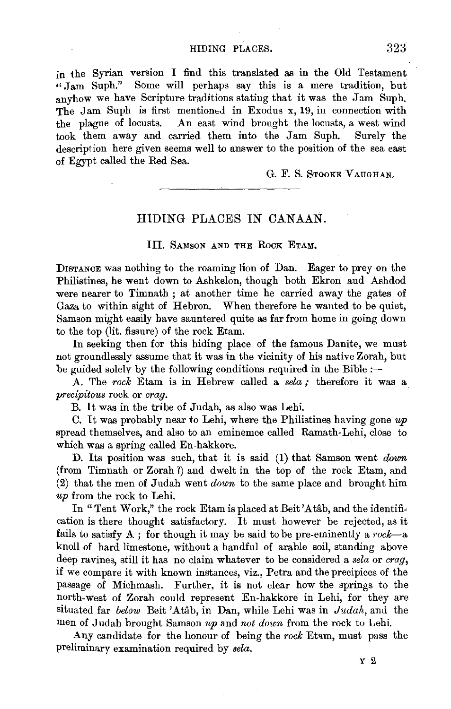## HIDING PLACES. 323

in the Syrian version I find this translated as in the Old Testament "Jam Suph." Some will perhaps say this is a mere tradition, but anyhow we have Scripture traditions stating that it was the Jam Suph. The Jam Suph is first mentioned in Exodus x, 19, in connection with the plague of locusts. An east wind brought the locusts, a west wind took them away and carried them into the Jam Suph. Surely the description here given seems well to answer to the position of the sea east of Egypt called the Red Sea.

G. F. S. STOOKE VAUGHAN

## HIDING PLACES IN CANAAN.

## III. SAMSON AND THE ROCK ETAM.

DISTANCE was nothing to the roaming lion of Dan. Eager to prey on the Philistines, he went down to Ashkelon, though both Ekron and Ashdod were nearer to Timnath; at another time he carried away the gates of Gaza to within sight of Hebron. When therefore he wanted to be quiet, Samson might easily have sauntered quite as far from home in going down to the top (lit. fissure) of the rock Etam.

In seeking then for this hiding place of the famous Danite, we must not groundlessly assume that it was in the vicinity of his native Zorah, but be guided solely by the following conditions required in the Bible *:-*

A. The *rock* Etam is in Hebrew called a *sela;* therefore it was a *precipitous* rock or *crag.* 

B. It was in the tribe of Judah, as also was Lehi

C. It was probably near to Lehi, where the Philistines having gone *up*  spread themselves, and also to an eminemce called Ramath-Lehi, close to which was a spring called En-hakkore.

D. Its position was sach, that it is said (1) that Samson went *down*  (from Timnath or Zorah 1) and dwelt in the top of the rock Etam, and (2) that the men of Judah went *down* to the same place and brought him *up* from the rock to Lehi.

In "Tent Work," the rock Etam is placed at Beit'Atab, and the identification is there thought satisfactory. It must however be rejected, as it fails to satisfy A ; for though it may be said to be pre-eminently a *rock-a*  knoll of hard limestone, without a handful of arable soil, standing above deep ravines, still it has no claim whatever to be considered a *sela* or *craq*, if we compare it with known instances, viz., Petra and the precipices of the passage of Michmash. Further, it is not clear how the springs to the north-west of Zorah could represent En-hakkore in Lehi, for they are situated far *below* Beit 'Atab, in Dan, while Lehi was in *Judah,* ami the men of Judah brought Samson up and not down from the rock to Lehi.

Any candidate for the honour of being the rock Etam, must pass the preliminary examination required by *sela.*